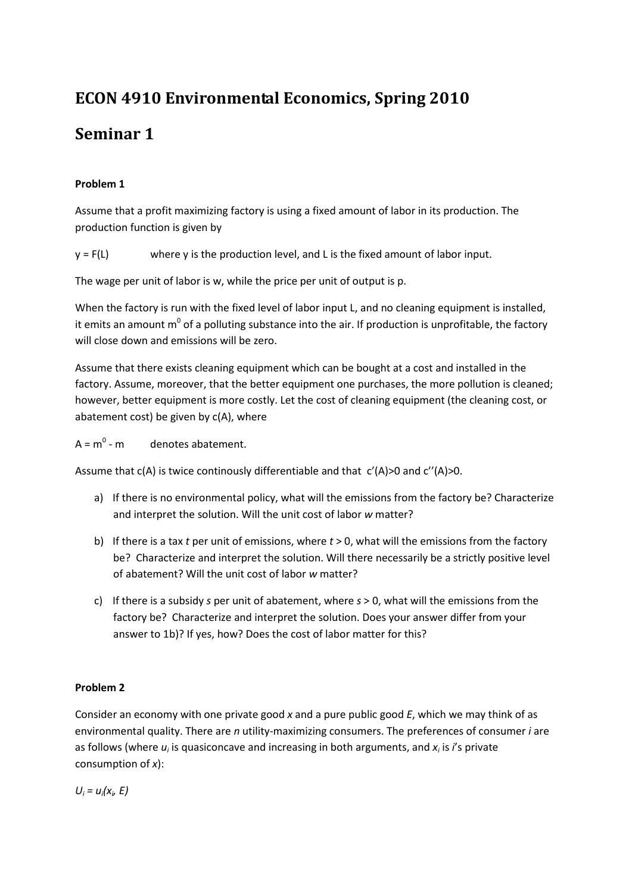# **ECON 4910 Environmental Economics, Spring 2010**

## **Seminar 1**

#### **Problem 1**

Assume that a profit maximizing factory is using a fixed amount of labor in its production. The production function is given by

 $y = F(L)$  where y is the production level, and L is the fixed amount of labor input.

The wage per unit of labor is w, while the price per unit of output is p.

When the factory is run with the fixed level of labor input L, and no cleaning equipment is installed, it emits an amount  $m^0$  of a polluting substance into the air. If production is unprofitable, the factory will close down and emissions will be zero.

Assume that there exists cleaning equipment which can be bought at a cost and installed in the factory. Assume, moreover, that the better equipment one purchases, the more pollution is cleaned; however, better equipment is more costly. Let the cost of cleaning equipment (the cleaning cost, or abatement cost) be given by  $c(A)$ , where

 $A = m^0 - m$  denotes abatement.

Assume that  $c(A)$  is twice continously differentiable and that  $c'(A)$  > 0 and  $c''(A)$  > 0.

- a) If there is no environmental policy, what will the emissions from the factory be? Characterize and interpret the solution. Will the unit cost of labor *w* matter?
- b) If there is a tax *t* per unit of emissions, where *t* > 0, what will the emissions from the factory be? Characterize and interpret the solution. Will there necessarily be a strictly positive level of abatement? Will the unit cost of labor *w* matter?
- c) If there is a subsidy *s* per unit of abatement, where *s* > 0, what will the emissions from the factory be? Characterize and interpret the solution. Does your answer differ from your answer to 1b)? If yes, how? Does the cost of labor matter for this?

### **Problem 2**

Consider an economy with one private good *x* and a pure public good *E*, which we may think of as environmental quality. There are *n* utility-maximizing consumers. The preferences of consumer *i* are as follows (where  $u_i$  is quasiconcave and increasing in both arguments, and  $x_i$  is *i*'s private consumption of *x*):

 $U_i = u_i(x_i, E)$